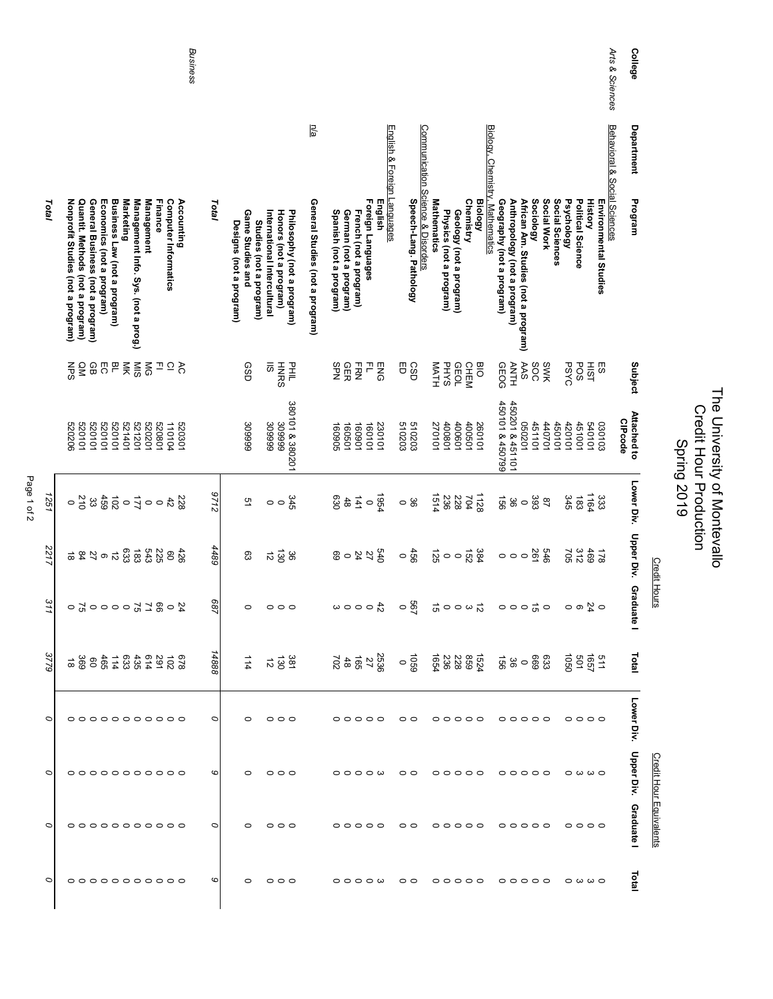|         |                                                                                                                                                                                                                                                                             | Business            |                                             |                                                                                                                | n/a                             |                                                                                                             |                                                             |                                                                                                                |                                                                                                                                                  |             |                                                                      | Arts & Sciences              | College                |                                |                                                               |
|---------|-----------------------------------------------------------------------------------------------------------------------------------------------------------------------------------------------------------------------------------------------------------------------------|---------------------|---------------------------------------------|----------------------------------------------------------------------------------------------------------------|---------------------------------|-------------------------------------------------------------------------------------------------------------|-------------------------------------------------------------|----------------------------------------------------------------------------------------------------------------|--------------------------------------------------------------------------------------------------------------------------------------------------|-------------|----------------------------------------------------------------------|------------------------------|------------------------|--------------------------------|---------------------------------------------------------------|
|         |                                                                                                                                                                                                                                                                             |                     |                                             |                                                                                                                |                                 | English & Foreign Languages                                                                                 |                                                             |                                                                                                                |                                                                                                                                                  |             |                                                                      | Behavioral & Social Sciences | Department             |                                |                                                               |
| Total   | Nonprofit Studies (not a program)<br>Quantit. Methods (not a program)<br>Economics (not a program)<br>Business Law (not a program)<br>Marketing<br>Management Info. Sys. (not a prog.)<br>Finance<br>Computer Informatics<br>General Business (not a program)<br>Management | Accounting<br>Total | Game Studies and<br>Designs (not a program) | International Intercultural<br>Honors (not a program)<br>Philosophy (not a program)<br>Studies (not a program) | General Studies (not a program) | Foreign Languages<br>English<br>Spanish (not a program)<br>French (not a program)<br>German (not a program) | Communication Science & Disorders<br>Speech-Lang. Pathology | <b>Mathematics</b><br><b>Chemistry</b><br><b>Biology</b><br>Physics (not a program)<br>Geology (not a program) | Biology, Chemistry, Mathematics<br>Sociology<br>Geography (not a program)<br>Anthropology (not a program)<br>African Am. Studies (not a program) | Social Work | Social Sciences<br>Psychology<br>Political Science<br><b>History</b> | Environmental Studies        | Program                |                                |                                                               |
|         | 25.58<br>그으중<br>QM<br>る                                                                                                                                                                                                                                                     |                     | GSĐ                                         | 75<br>罩<br><b>HNRS</b>                                                                                         |                                 | 유 R<br>오<br>오<br><b>HRN</b><br>곤<br><b>ENG</b>                                                              | 8<br>CSD                                                    | <b>MATH</b><br><b>PHYS</b><br>GEOL<br><b>CHEM</b><br><b>BIO</b>                                                | AAS<br>SOC<br><b>ANH</b>                                                                                                                         | SWK         | <b>PSYC</b><br>POS<br><b>HIST</b>                                    | 53                           | Subject                |                                |                                                               |
|         | 520101<br>520101<br>520101<br>520101<br>521401<br>521201<br>520201<br>520801<br>520206<br>110104                                                                                                                                                                            | 520301              | 309999                                      | 380101 & 380201<br>809999<br>309999                                                                            |                                 | 160501<br>160901<br>160101<br>160905<br>230101                                                              | 510203<br>510203                                            | 400801<br>400601<br>400501<br>270101<br>260101                                                                 | 450101 & 450799<br>450201 & 451101<br>102090<br>451101                                                                                           | 140701      | 450101<br>451001<br>420101<br>540101                                 | 030103                       | Attached to<br>CIPcode |                                | The University of Montevallo<br><b>Credit Hour Production</b> |
| 1251    |                                                                                                                                                                                                                                                                             | 2126<br>228         | 51                                          | 345<br>$\circ$<br>$\circ$                                                                                      |                                 | <b>PS61</b><br>$48$<br>630<br>141<br>$\circ$                                                                | မ္တ<br>$\circ$                                              | 1514<br>1128<br>236<br>228<br>704                                                                              | 991<br>393<br>36<br>$\circ$                                                                                                                      | $^{28}$     | 1164<br>345<br>183                                                   | 333                          | Lower Div.             |                                | <b>Spring 2019</b>                                            |
| 2217    | 633<br>$\overline{3}$<br>82<br>225<br>6, 2, 8, 6<br>$\vec{v}$                                                                                                                                                                                                               | 4489<br>426         | ဥ                                           | 130<br>$\vec{z}$<br>98                                                                                         |                                 | 540<br>27<br>24<br>69<br>$\circ$                                                                            | 660                                                         | $384$<br>$152$<br>52<br>$\circ$ $\circ$                                                                        | 261<br>$\circ$<br>$\circ$ $\circ$                                                                                                                | 979         | 469<br>705                                                           | 821                          | Upper Div.             | <b>Credit Hours</b>            |                                                               |
| 311     | 0000778<br>50<br>$\circ$                                                                                                                                                                                                                                                    | /89<br>24           | $\circ$                                     | $\circ$<br>$\circ$                                                                                             |                                 | $\frac{4}{9}$ 0 0 0 $\omega$                                                                                | <b>267</b><br>$\circ$                                       | $\vec{\mathfrak{o}}$<br>$\circ \circ \omega \overset{\rightharpoonup}{\circ}$                                  | $\circ \circ \circ \overset{\rightharpoonup}{\circ} \circ$                                                                                       |             | $\circ$ $\frac{6}{4}$ $\circ$                                        |                              | Gradua<br>ē            |                                |                                                               |
| 3779    | 0210248314688888                                                                                                                                                                                                                                                            | 8881                | 114                                         | $\frac{381}{20}$                                                                                               |                                 | 2825<br>2816                                                                                                |                                                             |                                                                                                                | မ္က ေစ့ ေ                                                                                                                                        |             | 효명<br>809 19                                                         |                              | Total                  |                                |                                                               |
| $\circ$ | 00000000000                                                                                                                                                                                                                                                                 | $\circ$             |                                             | $\circ$ $\circ$ $\circ$                                                                                        |                                 | 00000                                                                                                       | $\circ$ $\circ$                                             | $\circ \circ \circ \circ \circ$                                                                                | 00000                                                                                                                                            |             | 0000                                                                 |                              | Lower Div.             |                                |                                                               |
| 0       |                                                                                                                                                                                                                                                                             | 6                   |                                             | 000                                                                                                            |                                 | $\circ \circ \circ \circ \omega$                                                                            | $\circ$ $\circ$                                             | 00000                                                                                                          | $\begin{array}{ccc}\n0 & 0 & 0 & 0 & 0 \\ 0 & 0 & 0 & 0 & 0 & 0\n\end{array}$                                                                    |             | ဝ ယ ယ ဝ                                                              |                              | Upper Div. Graduate I  |                                |                                                               |
| 0       | 0000000000                                                                                                                                                                                                                                                                  | O                   | $\circ$                                     | $\circ \circ \circ$                                                                                            |                                 | $\circ \circ \circ \circ \circ$                                                                             | $\circ$                                                     | 00000                                                                                                          | $\circ \circ \circ \circ \circ$                                                                                                                  |             | 0000                                                                 |                              |                        | <b>Credit Hour Equivalents</b> |                                                               |
| 0       | 0000000000                                                                                                                                                                                                                                                                  | 6                   |                                             | $\circ \circ \circ$                                                                                            |                                 | $\circ \circ \circ \circ \omega$                                                                            | $\circ$ $\circ$                                             | $\circ \circ \circ \circ \circ \circ$                                                                          | $\circ \circ \circ \circ \circ$                                                                                                                  |             | $\circ \omega \omega \circ$                                          |                              | Total                  |                                |                                                               |

Page 1 of 2 Page 1 of 2